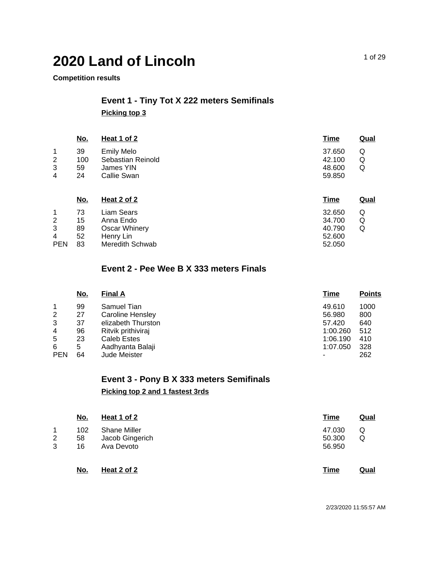#### **Competition results**

## **Event 1 - Tiny Tot X 222 meters Semifinals Picking top 3**

|                     | <u>No.</u>            | Heat 1 of 2                                                        | <b>Time</b>                                         | <b>Qual</b> |
|---------------------|-----------------------|--------------------------------------------------------------------|-----------------------------------------------------|-------------|
| 1<br>2<br>3<br>4    | 39<br>100<br>59<br>24 | <b>Emily Melo</b><br>Sebastian Reinold<br>James YIN<br>Callie Swan | 37.650<br>Q<br>42.100<br>Q<br>48.600<br>Q<br>59.850 |             |
|                     | <u>No.</u>            | <u>Heat 2 of 2</u>                                                 | <b>Time</b>                                         | Qual        |
| 1<br>$\overline{2}$ | 73<br>15              | Liam Sears<br>Anna Endo                                            | 32.650<br>Q<br>34.700<br>Q                          |             |
| 3                   | 89                    | <b>Oscar Whinery</b>                                               | 40.790<br>Q                                         |             |
| 4                   | 52                    | Henry Lin                                                          | 52.600                                              |             |
| <b>PEN</b>          | 83                    | Meredith Schwab                                                    | 52.050                                              |             |

#### **Event 2 - Pee Wee B X 333 meters Finals**

|            | <u>No.</u> | <b>Final A</b>     | <u>Time</u> | <b>Points</b> |
|------------|------------|--------------------|-------------|---------------|
| 1          | 99         | Samuel Tian        | 49.610      | 1000          |
| 2          | 27         | Caroline Hensley   | 56.980      | 800           |
| 3          | 37         | elizabeth Thurston | 57.420      | 640           |
| 4          | 96         | Ritvik prithiviraj | 1:00.260    | 512           |
| 5          | 23         | Caleb Estes        | 1:06.190    | 410           |
| 6          | 5          | Aadhyanta Balaji   | 1:07.050    | 328           |
| <b>PEN</b> | 64         | Jude Meister       |             | 262           |

## **Event 3 - Pony B X 333 meters Semifinals Picking top 2 and 1 fastest 3rds**

|    | <u>No.</u> | <b>Heat 1 of 2</b>  | <u>Time</u> | <u>Qual</u> |
|----|------------|---------------------|-------------|-------------|
| 1. | 102        | <b>Shane Miller</b> | 47.030      | Q           |
| 2  | 58         | Jacob Gingerich     | 50.300      | Q           |
| 3  | 16         | Ava Devoto          | 56.950      |             |
|    | <u>No.</u> | Heat 2 of 2         | Time        | Qual        |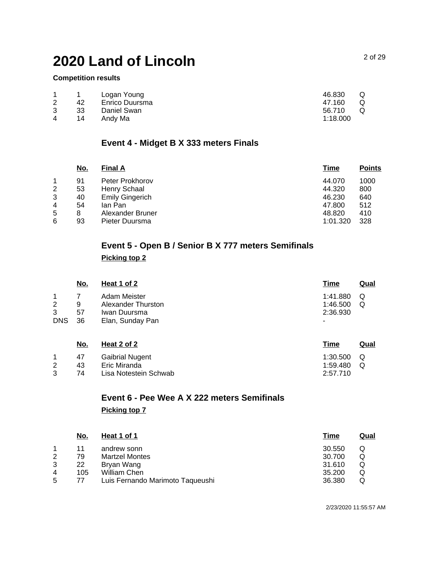#### **Competition results**

|   | 42 | Logan Young<br>Enrico Duursma | 46.830<br>47.160 | Q<br>Q |
|---|----|-------------------------------|------------------|--------|
| 3 | 33 | Daniel Swan                   | 56.710           | O      |
| 4 | 14 | Andy Ma                       | 1:18.000         |        |

## **Event 4 - Midget B X 333 meters Finals**

|   | No. | <b>Final A</b>   | <u>Time</u> | <b>Points</b> |
|---|-----|------------------|-------------|---------------|
|   | 91  | Peter Prokhorov  | 44.070      | 1000          |
| 2 | 53  | Henry Schaal     | 44.320      | 800           |
| 3 | 40  | Emily Gingerich  | 46.230      | 640           |
| 4 | 54  | lan Pan          | 47.800      | 512           |
| 5 | 8   | Alexander Bruner | 48.820      | 410           |
| 6 | 93  | Pieter Duursma   | 1:01.320    | 328           |

## **Event 5 - Open B / Senior B X 777 meters Semifinals Picking top 2**

| <u>No.</u> | <b>Heat 1 of 2</b> | <u>Time</u> | <u>Qual</u> |
|------------|--------------------|-------------|-------------|
|            | Adam Meister       | 1:41.880    | Q           |
| 9          | Alexander Thurston | 1:46.500    | Q           |
| 57         | Iwan Duursma       | 2:36.930    |             |
| 36         | Elan, Sunday Pan   | ٠           |             |
|            |                    |             |             |
|            |                    |             |             |

|   | No. | Heat 2 of 2            | Time         | Qual |
|---|-----|------------------------|--------------|------|
|   | 47  | <b>Gaibrial Nugent</b> | $1:30.500$ Q |      |
| 2 | 43  | Eric Miranda           | 1:59.480     | - റ  |
| າ | 74  | Lisa Notestein Schwab  | 2:57.710     |      |

# **Event 6 - Pee Wee A X 222 meters Semifinals**

#### **Picking top 7**

| <u>No.</u> | Heat 1 of 1                      | <u>Time</u> | <u>Qual</u> |
|------------|----------------------------------|-------------|-------------|
| 11         | andrew sonn                      | 30.550      |             |
| 79         | <b>Martzel Montes</b>            | 30.700      | Q           |
| 22         | Bryan Wang                       | 31.610      |             |
| 105        | William Chen                     | 35,200      | Q           |
| 77         | Luis Fernando Marimoto Taqueushi | 36.380      |             |
|            |                                  |             |             |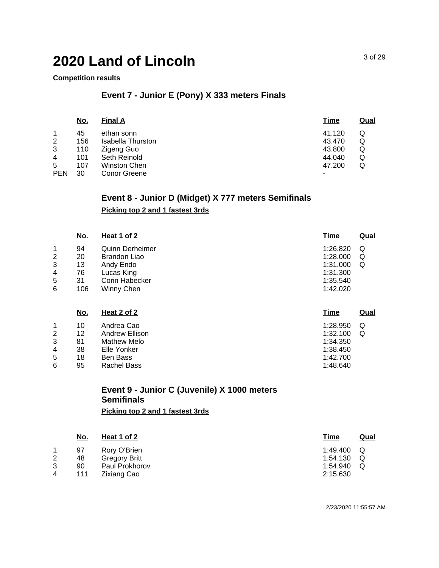#### **Competition results**

## **Event 7 - Junior E (Pony) X 333 meters Finals**

|            | <u>No.</u> | <b>Final A</b>    | <u>Time</u> | <u>Qual</u> |
|------------|------------|-------------------|-------------|-------------|
| 1          | 45         | ethan sonn        | 41.120      | Q           |
| 2          | 156        | Isabella Thurston | 43.470      | Q           |
| 3          | 110        | Zigeng Guo        | 43.800      | Q           |
| 4          | 101        | Seth Reinold      | 44.040      | Q           |
| 5          | 107        | Winston Chen      | 47.200      | Q           |
| <b>PEN</b> | 30         | Conor Greene      | -           |             |

## **Event 8 - Junior D (Midget) X 777 meters Semifinals**

#### **Picking top 2 and 1 fastest 3rds**

| <b>Time</b><br><b>Qual</b> | Heat 1 of 2            | <u>No.</u> |   |
|----------------------------|------------------------|------------|---|
| 1:26.820<br>Q              | <b>Quinn Derheimer</b> | 94         |   |
| 1:28.000<br>Q              | Brandon Liao           | 20         | 2 |
| 1:31.000<br>Q              | Andy Endo              | 13         | 3 |
| 1:31.300                   | Lucas King             | 76         | 4 |
| 1:35.540                   | Corin Habecker         | 31         | 5 |
| 1:42.020                   | Winny Chen             | 106        | 6 |
|                            |                        |            |   |

|   | <u>No.</u> | Heat 2 of 2    | <u>Time</u> | <b>Qual</b> |
|---|------------|----------------|-------------|-------------|
| 1 | 10         | Andrea Cao     | 1:28.950    | Q           |
| 2 | 12         | Andrew Ellison | 1:32.100    | Q           |
| 3 | 81         | Mathew Melo    | 1:34.350    |             |
| 4 | 38         | Elle Yonker    | 1:38.450    |             |
| 5 | 18         | Ben Bass       | 1:42.700    |             |
| 6 | 95         | Rachel Bass    | 1:48.640    |             |
|   |            |                |             |             |

## **Event 9 - Junior C (Juvenile) X 1000 meters Semifinals**

**Picking top 2 and 1 fastest 3rds**

|   | <u>No.</u> | <u>Heat 1 of 2</u>   | <u>Time</u> | <u>Qual</u> |
|---|------------|----------------------|-------------|-------------|
|   | 97         | Rory O'Brien         | 1:49.400    | O           |
| 2 | 48         | <b>Gregory Britt</b> | 1:54.130    |             |
| 3 | 90         | Paul Prokhorov       | 1:54.940    |             |
| 4 | 111        | Zixiang Cao          | 2:15.630    |             |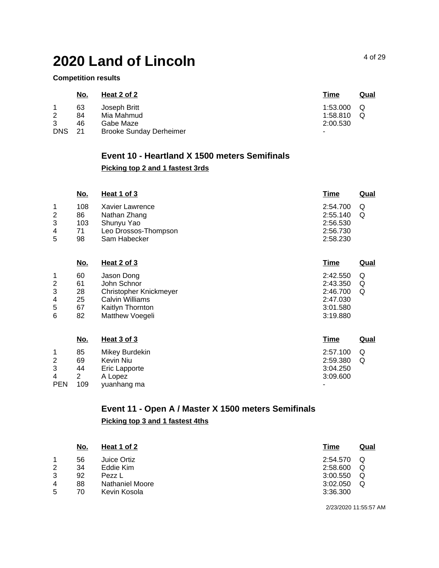**Competition results**

|            | <u>No.</u> | Heat 2 of 2                    | <u>Time</u>              | Qual |
|------------|------------|--------------------------------|--------------------------|------|
|            | 63         | Joseph Britt                   | 1:53.000                 |      |
| 2          | 84         | Mia Mahmud                     | 1:58.810                 |      |
| 3          | 46         | Gabe Maze                      | 2:00.530                 |      |
| <b>DNS</b> | -21        | <b>Brooke Sunday Derheimer</b> | $\overline{\phantom{a}}$ |      |

## **Event 10 - Heartland X 1500 meters Semifinals**

### **Picking top 2 and 1 fastest 3rds**

| No. | Heat 1 of 3     | Time                 | <u>Qual</u> |
|-----|-----------------|----------------------|-------------|
| 108 | Xavier Lawrence | 2:54.700             |             |
| 86  | Nathan Zhang    | 2:55.140             | Q           |
| 103 | Shunyu Yao      | 2:56.530             |             |
| 71  |                 | 2:56.730             |             |
| 98  | Sam Habecker    | 2:58.230             |             |
|     |                 | Leo Drossos-Thompson |             |

|   | <u>No.</u> | Heat 2 of 3            | Time     | <u>Qual</u> |
|---|------------|------------------------|----------|-------------|
|   | 60         | Jason Dong             | 2:42.550 | Q           |
| 2 | 61         | John Schnor            | 2:43.350 | Q           |
| 3 | 28         | Christopher Knickmeyer | 2:46.700 | Q           |
| 4 | 25         | Calvin Williams        | 2:47.030 |             |
| 5 | 67         | Kaitlyn Thornton       | 3:01.580 |             |
| 6 | 82         | Matthew Voegeli        | 3:19.880 |             |

|            | <u>No.</u> | Heat 3 of 3    | <b>Time</b> | Qual |
|------------|------------|----------------|-------------|------|
|            | 85         | Mikey Burdekin | 2:57.100    | Q    |
| 2          | 69         | Kevin Niu      | 2:59.380    | Q    |
| 3          | 44         | Eric Lapporte  | 3:04.250    |      |
| 4          |            | A Lopez        | 3:09.600    |      |
| <b>PEN</b> | 109        | yuanhang ma    | -           |      |

## **Event 11 - Open A / Master X 1500 meters Semifinals Picking top 3 and 1 fastest 4ths**

|   | No. | <u>Heat 1 of 2</u> | Time     | <u>Qual</u> |
|---|-----|--------------------|----------|-------------|
|   | 56  | Juice Ortiz        | 2:54.570 |             |
| 2 | 34  | Eddie Kim          | 2:58.600 | Q           |
| 3 | 92  | Pezz L             | 3:00.550 | Q           |
| 4 | 88  | Nathaniel Moore    | 3:02.050 | Q           |
| 5 | 70  | Kevin Kosola       | 3:36.300 |             |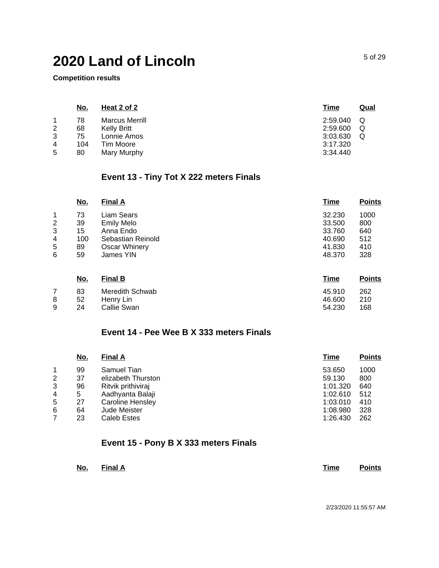**Competition results**

|                | <u>No.</u> | Heat 2 of 2           | Time     | <u>Qual</u> |
|----------------|------------|-----------------------|----------|-------------|
|                | 78         | <b>Marcus Merrill</b> | 2:59.040 | Q           |
| $\overline{2}$ | 68         | Kelly Britt           | 2:59.600 | Q           |
| 3              | 75         | Lonnie Amos           | 3:03.630 | Q           |
| 4              | 104        | Tim Moore             | 3:17.320 |             |
| 5              | 80         | Mary Murphy           | 3:34.440 |             |

## **Event 13 - Tiny Tot X 222 meters Finals**

|   | <u>No.</u> | <b>Final A</b>       | <b>Time</b> | <b>Points</b> |
|---|------------|----------------------|-------------|---------------|
| 1 | 73         | Liam Sears           | 32.230      | 1000          |
| 2 | 39         | <b>Emily Melo</b>    | 33.500      | 800           |
| 3 | 15         | Anna Endo            | 33.760      | 640           |
| 4 | 100        | Sebastian Reinold    | 40.690      | 512           |
| 5 | 89         | <b>Oscar Whinery</b> | 41.830      | 410           |
| 6 | 59         | James YIN            | 48.370      | 328           |
|   | <u>No.</u> | <b>Final B</b>       | <b>Time</b> | <b>Points</b> |

|   | 83   | Meredith Schwab | 45.910 | 262  |
|---|------|-----------------|--------|------|
| 8 | 52   | Henry Lin       | 46.600 | -210 |
| 9 | - 24 | Callie Swan     | 54.230 | 168  |

### **Event 14 - Pee Wee B X 333 meters Finals**

| 1000 |
|------|
| 800  |
| 640  |
| 512  |
| 410  |
| 328  |
| 262  |
|      |

## **Event 15 - Pony B X 333 meters Finals**

| No. Final A |  | <b>Time</b> | <b>Points</b> |
|-------------|--|-------------|---------------|
|             |  |             |               |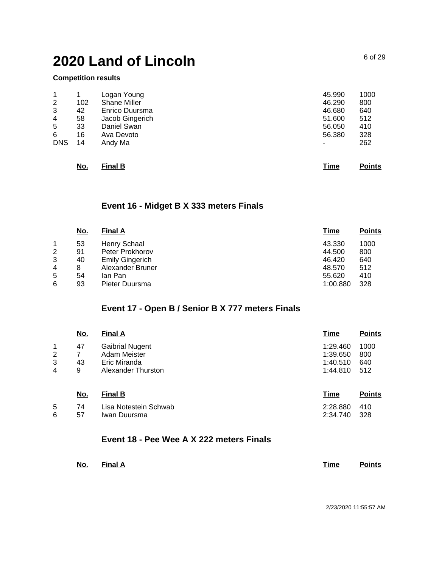#### **Competition results**

6 57 Iwan Duursma

|            | <u>No.</u> | <b>Final B</b>      | <b>Time</b> | <b>Points</b> |
|------------|------------|---------------------|-------------|---------------|
| <b>DNS</b> | 14         | Andy Ma             | ٠           | 262           |
| 6          | 16         | Ava Devoto          | 56,380      | 328           |
| 5          | 33         | Daniel Swan         | 56.050      | 410           |
| 4          | 58         | Jacob Gingerich     | 51.600      | 512           |
| 3          | 42         | Enrico Duursma      | 46.680      | 640           |
| 2          | 102        | <b>Shane Miller</b> | 46.290      | 800           |
| 1          |            | Logan Young         | 45.990      | 1000          |
|            |            |                     |             |               |

## **Event 16 - Midget B X 333 meters Finals**

| <u>No.</u> | <b>Final A</b>         | <u>Time</u> | <b>Points</b> |
|------------|------------------------|-------------|---------------|
| 53         | Henry Schaal           | 43.330      | 1000          |
| 91         | Peter Prokhorov        | 44.500      | 800           |
| 40         | <b>Emily Gingerich</b> | 46.420      | 640           |
| 8          | Alexander Bruner       | 48.570      | 512           |
| 54         | lan Pan                | 55.620      | 410           |
| 93         | Pieter Duursma         | 1:00.880    | 328           |
|            |                        |             |               |

## **Event 17 - Open B / Senior B X 777 meters Finals**

|                  | <u>No.</u>    | <b>Final A</b>                                                               | Time                                         | <b>Points</b>             |
|------------------|---------------|------------------------------------------------------------------------------|----------------------------------------------|---------------------------|
| 1<br>2<br>3<br>4 | 47<br>43<br>9 | <b>Gaibrial Nugent</b><br>Adam Meister<br>Eric Miranda<br>Alexander Thurston | 1:29.460<br>1:39.650<br>1:40.510<br>1:44.810 | 1000<br>800<br>640<br>512 |
|                  | <u>No.</u>    | <b>Final B</b>                                                               | <u>Time</u>                                  | <b>Points</b>             |
| 5                | 74            | Lisa Notestein Schwab                                                        | 2:28.880                                     | 410                       |

### **Event 18 - Pee Wee A X 222 meters Finals**

| <u>No. Final A</u> | Time | <b>Points</b> |
|--------------------|------|---------------|
|                    |      |               |

2/23/2020 11:55:57 AM

2:34.740 328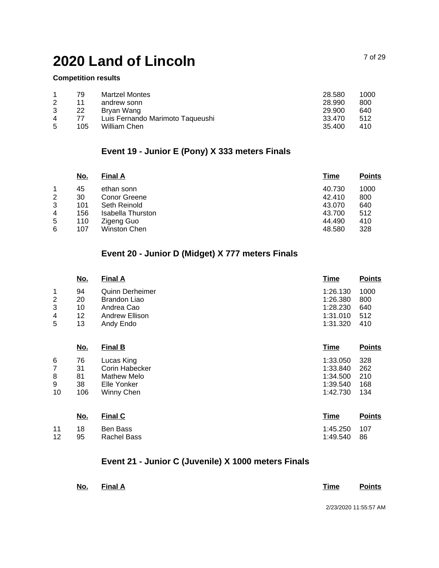#### **Competition results**

|   | 79  | <b>Martzel Montes</b>            | 28.580 | 1000 |
|---|-----|----------------------------------|--------|------|
|   | 11  | andrew sonn                      | 28.990 | 800  |
| 3 | 22  | Brvan Wang                       | 29.900 | 640  |
| 4 | 77  | Luis Fernando Marimoto Taqueushi | 33.470 | 512  |
| 5 | 105 | William Chen                     | 35.400 | 410  |

## **Event 19 - Junior E (Pony) X 333 meters Finals**

| <b>Points</b> |
|---------------|
| 1000          |
| 800           |
| 640           |
| 512           |
| 410           |
| 328           |
|               |

## **Event 20 - Junior D (Midget) X 777 meters Finals**

| No. | <b>Final A</b>         | <u>Time</u> | <b>Points</b> |
|-----|------------------------|-------------|---------------|
| 94  | <b>Quinn Derheimer</b> | 1:26.130    | 1000          |
| 20  | Brandon Liao           | 1:26.380    | 800           |
| 10  | Andrea Cao             | 1:28.230    | 640           |
| 12  | Andrew Ellison         | 1:31.010    | 512           |
| 13  | Andy Endo              | 1:31.320    | 410           |
|     |                        |             |               |

|    | <u>No.</u> | <b>Final B</b> | Time     | <b>Points</b> |
|----|------------|----------------|----------|---------------|
| 6  | 76         | Lucas King     | 1:33.050 | -328          |
|    | 31         | Corin Habecker | 1:33.840 | 262           |
| 8  | 81         | Mathew Melo    | 1:34.500 | 210           |
| 9  | 38         | Elle Yonker    | 1:39.540 | 168           |
| 10 | 106        | Winny Chen     | 1:42.730 | 134           |
|    |            |                |          |               |

|                          | No. | <b>Final C</b>          | Time                        | <b>Points</b> |
|--------------------------|-----|-------------------------|-----------------------------|---------------|
| 11 18<br>12 <sup>2</sup> | 95  | Ben Bass<br>Rachel Bass | 1:45.250 107<br>1:49.540 86 |               |

## **Event 21 - Junior C (Juvenile) X 1000 meters Finals**

| No. Final A |  |  | Time Points      |
|-------------|--|--|------------------|
|             |  |  | ---------------- |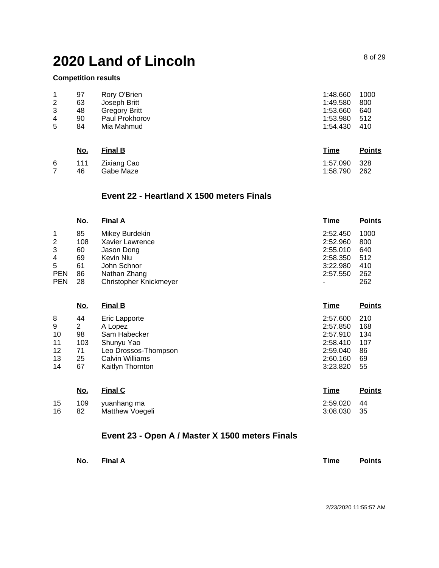#### **Competition results**

|   | 97 | Rory O'Brien         | 1:48.660 | 1000 |
|---|----|----------------------|----------|------|
| 2 | 63 | Joseph Britt         | 1:49.580 | 800  |
| 3 | 48 | <b>Gregory Britt</b> | 1:53.660 | 640  |
| 4 | 90 | Paul Prokhorov       | 1:53.980 | 512  |
| 5 | 84 | Mia Mahmud           | 1:54.430 | 410  |
|   |    |                      |          |      |

| <u>No.</u> | <b>Final B</b>                 | Time                         | <b>Points</b> |
|------------|--------------------------------|------------------------------|---------------|
| 46         | 6 111 Zixiang Cao<br>Gabe Maze | 1:57.090 328<br>1:58.790 262 |               |

#### **Event 22 - Heartland X 1500 meters Finals**

|            | <u>No.</u> | <b>Final A</b>                | <u>Time</u>          | <b>Points</b> |
|------------|------------|-------------------------------|----------------------|---------------|
|            | 85         | Mikey Burdekin                | 2:52.450             | 1000          |
| 2<br>3     | 108<br>60  | Xavier Lawrence<br>Jason Dong | 2:52.960<br>2:55.010 | 800<br>640    |
| 4<br>5     | 69<br>61   | Kevin Niu<br>John Schnor      | 2:58.350<br>3:22.980 | 512<br>410    |
| <b>PEN</b> | 86         | Nathan Zhang                  | 2:57.550             | 262           |
| <b>PEN</b> | 28         | Christopher Knickmeyer        | ۰                    | 262           |

|    | <u>No.</u>     | <b>Final B</b>         | <b>Time</b> | <b>Points</b> |
|----|----------------|------------------------|-------------|---------------|
| 8  | 44             | Eric Lapporte          | 2:57.600    | 210           |
| 9  | $\overline{2}$ | A Lopez                | 2:57.850    | 168           |
| 10 | 98             | Sam Habecker           | 2:57.910    | 134           |
| 11 | 103            | Shunyu Yao             | 2:58.410    | 107           |
| 12 | 71             | Leo Drossos-Thompson   | 2:59.040    | 86            |
| 13 | 25             | <b>Calvin Williams</b> | 2:60.160    | 69            |
| 14 | 67             | Kaitlyn Thornton       | 3:23.820    | 55            |
|    | <u>No.</u>     | <u>Final C</u>         | Time        | <b>Points</b> |

| 15<br>16 | 82 | 109 yuanhang ma<br>Matthew Voegeli | 2:59.020 44<br>3:08.030 35 |  |
|----------|----|------------------------------------|----------------------------|--|
|          |    |                                    |                            |  |

## **Event 23 - Open A / Master X 1500 meters Finals**

| No. Final A |  |  | Time | <b>Points</b> |
|-------------|--|--|------|---------------|
|             |  |  |      |               |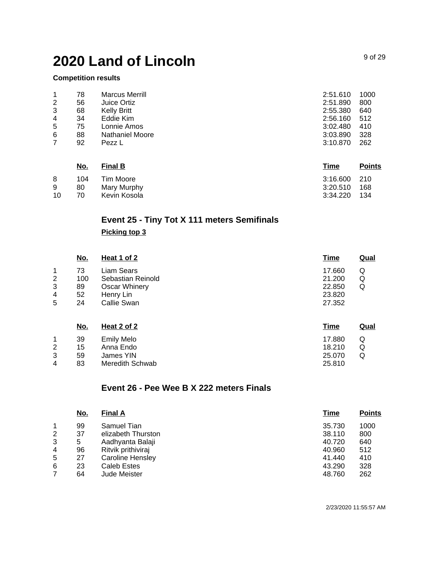### **Competition results**

| 1              | 78 | <b>Marcus Merrill</b> | 2:51.610 | 1000 |
|----------------|----|-----------------------|----------|------|
| $\overline{2}$ | 56 | Juice Ortiz           | 2:51.890 | 800  |
| 3              | 68 | Kelly Britt           | 2:55.380 | 640  |
| 4              | 34 | Eddie Kim             | 2:56.160 | 512  |
| 5              | 75 | Lonnie Amos           | 3:02.480 | 410  |
| 6              | 88 | Nathaniel Moore       | 3:03.890 | 328  |
|                | 92 | Pezz L                | 3:10.870 | 262  |

|    | No. | <b>Final B</b> | Time         | <b>Points</b> |
|----|-----|----------------|--------------|---------------|
| 8  | 104 | Tim Moore      | 3:16.600 210 |               |
| 9  | 80  | Mary Murphy    | 3:20.510     | 168           |
| 10 | 70  | Kevin Kosola   | 3:34.220     | 134           |

# **Event 25 - Tiny Tot X 111 meters Semifinals**

### **Picking top 3**

|   | <u>No.</u> | <b>Heat 1 of 2</b> | <b>Time</b> | <u>Qual</u> |
|---|------------|--------------------|-------------|-------------|
| 1 | 73         | Liam Sears         | 17.660      | Q           |
| 2 | 100        | Sebastian Reinold  | 21.200      | Q           |
| 3 | 89         | Oscar Whinery      | 22,850      | Q           |
| 4 | 52         | Henry Lin          | 23.820      |             |
| 5 | 24         | Callie Swan        | 27.352      |             |
|   |            |                    |             |             |

|   | <u>No.</u> | Heat 2 of 2       | Time   | Qual |
|---|------------|-------------------|--------|------|
| 1 | 39         | <b>Emily Melo</b> | 17.880 | Q    |
| 2 | 15         | Anna Endo         | 18.210 | Q    |
| 3 | 59         | James YIN         | 25,070 | Q    |
| 4 | 83         | Meredith Schwab   | 25.810 |      |

## **Event 26 - Pee Wee B X 222 meters Finals**

|   | <u>No.</u> | <b>Final A</b>     | Time   | <b>Points</b> |
|---|------------|--------------------|--------|---------------|
|   | 99         | Samuel Tian        | 35.730 | 1000          |
| 2 | 37         | elizabeth Thurston | 38.110 | 800           |
| 3 | 5          | Aadhyanta Balaji   | 40.720 | 640           |
| 4 | 96         | Ritvik prithiviraj | 40.960 | 512           |
| 5 | 27         | Caroline Hensley   | 41.440 | 410           |
| 6 | 23         | Caleb Estes        | 43.290 | 328           |
|   | 64         | Jude Meister       | 48.760 | 262           |
|   |            |                    |        |               |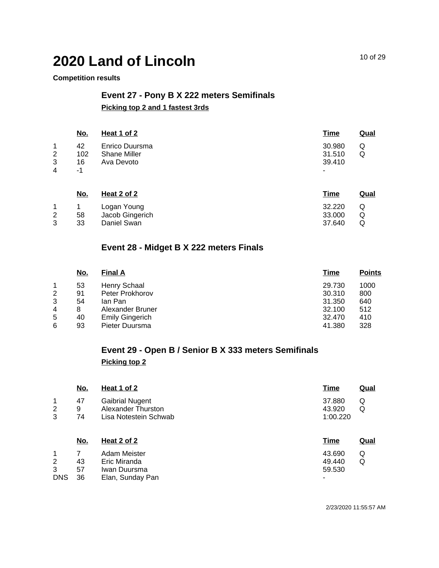#### **Competition results**

## **Event 27 - Pony B X 222 meters Semifinals Picking top 2 and 1 fastest 3rds**

**No. Heat 1 of 2 Time Qual** 1 2 3 4 42 102 Shane Miller 16 -1 Enrico Duursma Ava Devoto 30.980 31.510 39.410 - Q Q **No. Heat 2 of 2 Time Qual**

| IVU. | <b>THEAL Z UI Z</b> | TILIE           | wual   |
|------|---------------------|-----------------|--------|
|      | Logan Young         | 32.220          | Q      |
|      |                     |                 | Q      |
| 33   | Daniel Swan         | 37.640          | Q      |
|      | 58                  | Jacob Gingerich | 33.000 |

## **Event 28 - Midget B X 222 meters Finals**

| 1000 |
|------|
| 800  |
| 640  |
| 512  |
| 410  |
| 328  |
|      |

## **Event 29 - Open B / Senior B X 333 meters Semifinals Picking top 2**

|             | <u>No.</u>    | Heat 1 of 2                                                           | <b>Time</b>                  | <u>Qual</u> |
|-------------|---------------|-----------------------------------------------------------------------|------------------------------|-------------|
| 1<br>2<br>3 | 47<br>9<br>74 | <b>Gaibrial Nugent</b><br>Alexander Thurston<br>Lisa Notestein Schwab | 37.880<br>43.920<br>1:00.220 | Q<br>Q      |
|             | <u>No.</u>    | <u>Heat 2 of 2</u>                                                    | <b>Time</b>                  | <u>Qual</u> |
| 1<br>2      | 43            | Adam Meister<br>Eric Miranda                                          | 43.690<br>49.440             | Q<br>Q      |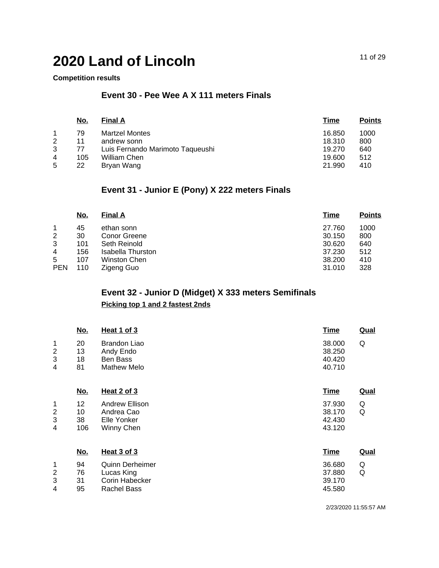### **Competition results**

## **Event 30 - Pee Wee A X 111 meters Finals**

|   | <u>No.</u> | <b>Final A</b>                   | Time   | <b>Points</b> |
|---|------------|----------------------------------|--------|---------------|
|   | 79         | <b>Martzel Montes</b>            | 16.850 | 1000          |
| 2 | 11         | andrew sonn                      | 18.310 | 800           |
| 3 | 77         | Luis Fernando Marimoto Taqueushi | 19.270 | 640           |
| 4 | 105        | William Chen                     | 19.600 | 512           |
| 5 | 22         | Bryan Wang                       | 21.990 | 410           |

## **Event 31 - Junior E (Pony) X 222 meters Finals**

|            | <u>No.</u> | <b>Final A</b>    | Time   | <b>Points</b> |
|------------|------------|-------------------|--------|---------------|
|            | 45         | ethan sonn        | 27.760 | 1000          |
| 2          | 30         | Conor Greene      | 30.150 | 800           |
| 3          | 101        | Seth Reinold      | 30.620 | 640           |
| 4          | 156        | Isabella Thurston | 37.230 | 512           |
| 5          | 107        | Winston Chen      | 38,200 | 410           |
| <b>PEN</b> | 110        | Zigeng Guo        | 31.010 | 328           |

## **Event 32 - Junior D (Midget) X 333 meters Semifinals**

## **Picking top 1 and 2 fastest 2nds**

|                               | <u>No.</u>            | <b>Heat 1 of 3</b>                                                           | <b>Time</b>                          | Qual        |
|-------------------------------|-----------------------|------------------------------------------------------------------------------|--------------------------------------|-------------|
| 1<br>2<br>3<br>4              | 20<br>13<br>18<br>81  | <b>Brandon Liao</b><br>Andy Endo<br>Ben Bass<br><b>Mathew Melo</b>           | 38,000<br>38.250<br>40.420<br>40.710 | Q           |
|                               | <u>No.</u>            | <b>Heat 2 of 3</b>                                                           | <b>Time</b>                          | <b>Qual</b> |
| 1<br>$\overline{c}$<br>3<br>4 | 12<br>10<br>38<br>106 | Andrew Ellison<br>Andrea Cao<br>Elle Yonker<br>Winny Chen                    | 37.930<br>38.170<br>42.430<br>43.120 | Q<br>Q      |
|                               | <u>No.</u>            | Heat 3 of 3                                                                  | <b>Time</b>                          | <b>Qual</b> |
| 1<br>$\overline{c}$<br>3<br>4 | 94<br>76<br>31<br>95  | <b>Quinn Derheimer</b><br>Lucas King<br>Corin Habecker<br><b>Rachel Bass</b> | 36.680<br>37.880<br>39.170<br>45.580 | Q<br>Q      |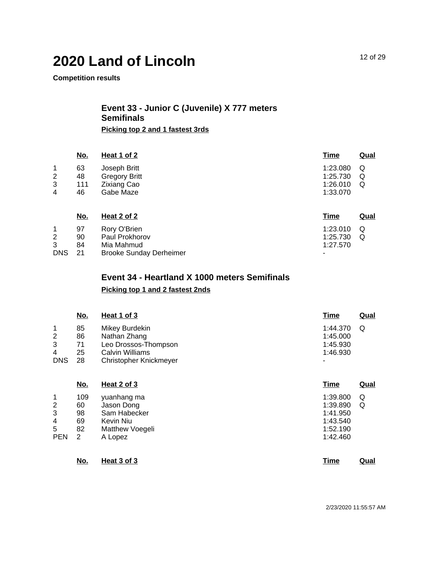**Competition results**

### **Event 33 - Junior C (Juvenile) X 777 meters Semifinals Picking top 2 and 1 fastest 3rds**

**No. Heat 1 of 2 Time Qual** 1 2 3 4 63 48 111 46 Joseph Britt Gregory Britt Zixiang Cao Gabe Maze 1:23.080 Q 1:25.730 Q 1:26.010 1:33.070 Q **No. Heat 2 of 2 Time Qual** 1 2 3 DNS 21 97 90 84 Rory O'Brien Paul Prokhorov Mia Mahmud Brooke Sunday Derheimer 1:23.010 Q 1:25.730 Q 1:27.570 -

## **Event 34 - Heartland X 1000 meters Semifinals Picking top 1 and 2 fastest 2nds**

|            | No.        | Heat 1 of 3            | <b>Time</b>              | <b>Qual</b> |
|------------|------------|------------------------|--------------------------|-------------|
| 1          | 85         | Mikey Burdekin         | 1:44.370                 | Q           |
| 2          | 86         | Nathan Zhang           | 1:45.000                 |             |
| 3          | 71         | Leo Drossos-Thompson   | 1:45.930                 |             |
| 4          | 25         | <b>Calvin Williams</b> | 1:46.930                 |             |
| <b>DNS</b> | 28         | Christopher Knickmeyer | $\overline{\phantom{0}}$ |             |
|            | <u>No.</u> | Heat 2 of 3            | <u>Time</u>              | <u>Qual</u> |
| 4          | 100        | $m$ nanhong mo         | 1.20.900                 | ⌒           |

|            | 109           | yuanhang ma     | 1:39.800 | Q |
|------------|---------------|-----------------|----------|---|
| 2          | 60            | Jason Dong      | 1:39.890 | Q |
| 3          | 98            | Sam Habecker    | 1:41.950 |   |
| 4          | 69            | Kevin Niu       | 1:43.540 |   |
| 5          | 82            | Matthew Voegeli | 1:52.190 |   |
| <b>PEN</b> | $\mathcal{P}$ | A Lopez         | 1:42.460 |   |

| No. | Heat 3 of 3 |  | Time | Qual |
|-----|-------------|--|------|------|
|     |             |  |      |      |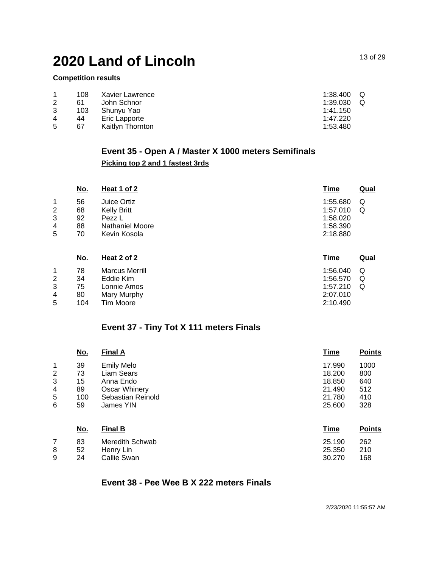### **Competition results**

|   | 108 | Xavier Lawrence  | Q<br>1:38.400 |
|---|-----|------------------|---------------|
| 2 | 61  | John Schnor      | Q<br>1:39.030 |
| 3 | 103 | Shunvu Yao       | 1:41.150      |
| 4 | 44  | Eric Lapporte    | 1:47.220      |
| 5 | 67  | Kaitlyn Thornton | 1:53.480      |

## **Event 35 - Open A / Master X 1000 meters Semifinals Picking top 2 and 1 fastest 3rds**

|   | <u>No.</u> | Heat 1 of 2            | <b>Time</b> | <b>Qual</b> |
|---|------------|------------------------|-------------|-------------|
| 1 | 56         | Juice Ortiz            | 1:55.680    | Q           |
| 2 | 68         | <b>Kelly Britt</b>     | 1:57.010    | Q           |
| 3 | 92         | Pezz L                 | 1:58.020    |             |
| 4 | 88         | <b>Nathaniel Moore</b> | 1:58.390    |             |
| 5 | 70         | Kevin Kosola           | 2:18.880    |             |
|   | <u>No.</u> | Heat 2 of 2            | <b>Time</b> | <b>Qual</b> |
| 1 | 78         | <b>Marcus Merrill</b>  | 1:56.040    | Q           |

| 2 | 34  | Eddie Kim   | 1:56.570 $Q$ |  |
|---|-----|-------------|--------------|--|
| 3 | 75  | Lonnie Amos | 1:57.210 Q   |  |
| 4 | 80  | Mary Murphy | 2:07.010     |  |
| 5 | 104 | Tim Moore   | 2:10.490     |  |
|   |     |             |              |  |

## **Event 37 - Tiny Tot X 111 meters Finals**

|                | <u>No.</u> | <b>Final A</b>       | <b>Time</b> | <b>Points</b> |
|----------------|------------|----------------------|-------------|---------------|
| 1              | 39         | <b>Emily Melo</b>    | 17.990      | 1000          |
| $\overline{2}$ | 73         | Liam Sears           | 18.200      | 800           |
| 3              | 15         | Anna Endo            | 18.850      | 640           |
| 4              | 89         | <b>Oscar Whinery</b> | 21.490      | 512           |
| 5              | 100        | Sebastian Reinold    | 21.780      | 410           |
| 6              | 59         | James YIN            | 25.600      | 328           |
|                | <u>No.</u> | <b>Final B</b>       | <b>Time</b> | <b>Points</b> |

|   | 83  | Meredith Schwab | 25.190 | 262 |
|---|-----|-----------------|--------|-----|
| 8 | -52 | Henry Lin       | 25.350 | 210 |
| 9 | 24  | Callie Swan     | 30.270 | 168 |

## **Event 38 - Pee Wee B X 222 meters Finals**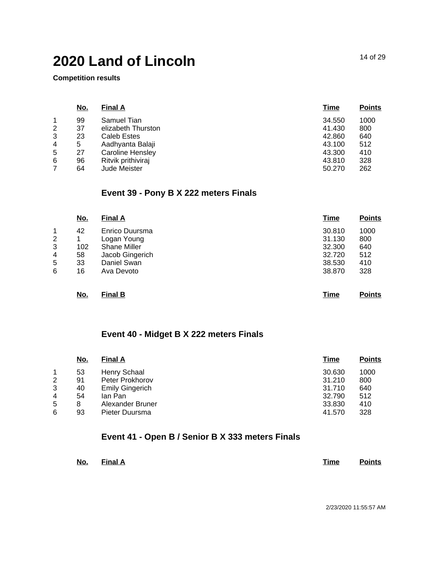**Competition results**

|   | <u>No.</u> | <b>Final A</b>          | <b>Time</b> | <b>Points</b> |
|---|------------|-------------------------|-------------|---------------|
|   | 99         | Samuel Tian             | 34.550      | 1000          |
| 2 | 37         | elizabeth Thurston      | 41.430      | 800           |
| 3 | 23         | Caleb Estes             | 42.860      | 640           |
| 4 | 5          | Aadhyanta Balaji        | 43.100      | 512           |
| 5 | 27         | <b>Caroline Hensley</b> | 43.300      | 410           |
| 6 | 96         | Ritvik prithiviraj      | 43.810      | 328           |
|   | 64         | <b>Jude Meister</b>     | 50.270      | 262           |
|   |            |                         |             |               |

## **Event 39 - Pony B X 222 meters Finals**

|                                                    | <u>No.</u>                       | <b>Final A</b>                                                                                       | <u>Time</u>                                              | <b>Points</b>                           |
|----------------------------------------------------|----------------------------------|------------------------------------------------------------------------------------------------------|----------------------------------------------------------|-----------------------------------------|
| $\mathbf{1}$<br>$\overline{2}$<br>3<br>4<br>5<br>6 | 42<br>1<br>102<br>58<br>33<br>16 | Enrico Duursma<br>Logan Young<br><b>Shane Miller</b><br>Jacob Gingerich<br>Daniel Swan<br>Ava Devoto | 30.810<br>31.130<br>32.300<br>32.720<br>38.530<br>38,870 | 1000<br>800<br>640<br>512<br>410<br>328 |
|                                                    | No.                              | <b>Final B</b>                                                                                       | Time                                                     | <b>Points</b>                           |

## **Event 40 - Midget B X 222 meters Finals**

|   | <u>No.</u> | <b>Final A</b>         | Time   | <b>Points</b> |
|---|------------|------------------------|--------|---------------|
|   | 53         | Henry Schaal           | 30.630 | 1000          |
| 2 | 91         | Peter Prokhorov        | 31.210 | 800           |
| 3 | 40         | <b>Emily Gingerich</b> | 31.710 | 640           |
| 4 | 54         | lan Pan                | 32.790 | 512           |
| 5 | 8          | Alexander Bruner       | 33.830 | 410           |
| 6 | 93         | Pieter Duursma         | 41.570 | 328           |

## **Event 41 - Open B / Senior B X 333 meters Finals**

| <u>No. Final A</u> | Time<br>________ | <b>Points</b> |
|--------------------|------------------|---------------|
|--------------------|------------------|---------------|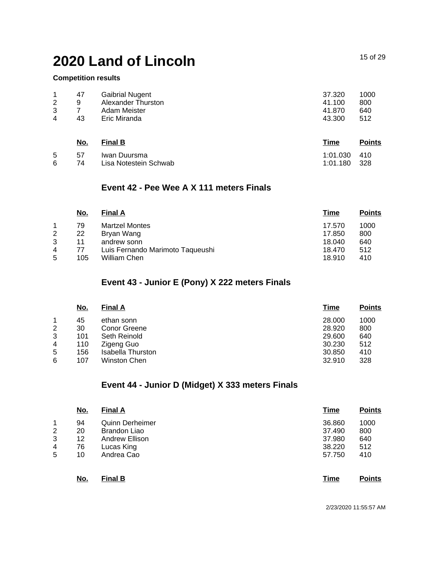#### **Competition results**

| 2 | 47 | <b>Gaibrial Nugent</b> | 37.320 | 1000 |
|---|----|------------------------|--------|------|
|   | 9  | Alexander Thurston     | 41.100 | 800  |
| 3 | 43 | Adam Meister           | 41.870 | 640  |
| 4 |    | Eric Miranda           | 43.300 | 512  |
|   |    |                        |        |      |

|            | No. | <b>Final B</b>        | Time         | <b>Points</b> |
|------------|-----|-----------------------|--------------|---------------|
| 5          | 57  | Iwan Duursma          | 1:01.030 410 |               |
| <u>ິ</u> 6 | 74  | Lisa Notestein Schwab | 1:01.180 328 |               |

### **Event 42 - Pee Wee A X 111 meters Finals**

|                | No. | <b>Final A</b>                   | Time   | <b>Points</b> |
|----------------|-----|----------------------------------|--------|---------------|
|                | 79  | <b>Martzel Montes</b>            | 17.570 | 1000          |
| 2              | 22  | Bryan Wang                       | 17.850 | 800           |
| 3              | 11  | andrew sonn                      | 18.040 | 640           |
| $\overline{4}$ | 77  | Luis Fernando Marimoto Taqueushi | 18.470 | 512           |
| 5              | 105 | William Chen                     | 18.910 | 410           |

## **Event 43 - Junior E (Pony) X 222 meters Finals**

| <u>No.</u> | <b>Final A</b>    | Time       | <b>Points</b> |
|------------|-------------------|------------|---------------|
| 45         | ethan sonn        | 28,000     | 1000          |
| 30         | Conor Greene      | 28,920     | 800           |
| 101        | Seth Reinold      | 29,600     | 640           |
| 110        |                   | 30.230     | 512           |
| 156        | Isabella Thurston | 30.850     | 410           |
| 107        | Winston Chen      | 32.910     | 328           |
|            |                   | Zigeng Guo |               |

## **Event 44 - Junior D (Midget) X 333 meters Finals**

|   | <u>No.</u> | <b>Final A</b>         | <b>Time</b> | <b>Points</b> |
|---|------------|------------------------|-------------|---------------|
| 1 | 94         | <b>Quinn Derheimer</b> | 36.860      | 1000          |
| 2 | 20         | <b>Brandon Liao</b>    | 37.490      | 800           |
| 3 | 12         | <b>Andrew Ellison</b>  | 37.980      | 640           |
| 4 | 76         | Lucas King             | 38.220      | 512           |
| 5 | 10         | Andrea Cao             | 57.750      | 410           |
|   | <u>No.</u> | <b>Final B</b>         | <b>Time</b> | <b>Points</b> |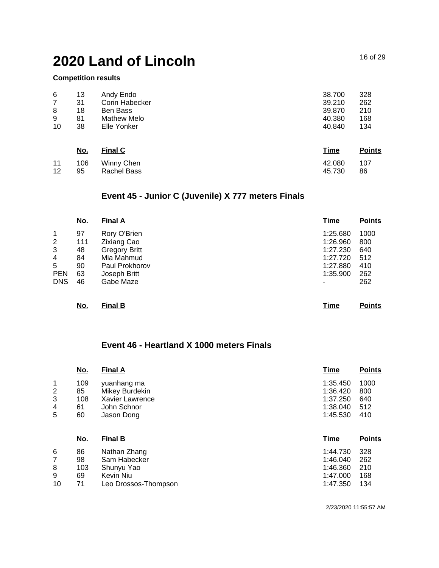Rachel Bass

#### **Competition results**

12

95

| 6              | 13         | Andy Endo      | 38.700      | 328           |
|----------------|------------|----------------|-------------|---------------|
| $\overline{7}$ | 31         | Corin Habecker | 39.210      | 262           |
| 8              | 18         | Ben Bass       | 39,870      | 210           |
| 9              | 81         | Mathew Melo    | 40.380      | 168           |
| 10             | 38         | Elle Yonker    | 40.840      | 134           |
|                | <u>No.</u> | <b>Final C</b> | <b>Time</b> | <b>Points</b> |
| 11             | 106        | Winny Chen     | 42.080      | 107           |

## **Event 45 - Junior C (Juvenile) X 777 meters Finals**

|                | <u>No.</u> | <b>Final A</b>       | <b>Time</b> | <b>Points</b> |
|----------------|------------|----------------------|-------------|---------------|
| 1              | 97         | Rory O'Brien         | 1:25.680    | 1000          |
| $\overline{2}$ | 111        | <b>Zixiang Cao</b>   | 1:26.960    | 800           |
| 3              | 48         | <b>Gregory Britt</b> | 1:27.230    | 640           |
| 4              | 84         | Mia Mahmud           | 1:27.720    | 512           |
| 5              | 90         | Paul Prokhorov       | 1:27.880    | 410           |
| <b>PEN</b>     | 63         | Joseph Britt         | 1:35.900    | 262           |
| <b>DNS</b>     | 46         | Gabe Maze            | ٠           | 262           |
|                | No.        | <b>Final B</b>       | <b>Time</b> | <b>Points</b> |

## **Event 46 - Heartland X 1000 meters Finals**

|    | <u>No.</u> | <b>Final A</b>         | <b>Time</b> | <b>Points</b> |
|----|------------|------------------------|-------------|---------------|
| 1  | 109        | yuanhang ma            | 1:35.450    | 1000          |
| 2  | 85         | Mikey Burdekin         | 1:36.420    | 800           |
| 3  | 108        | <b>Xavier Lawrence</b> | 1:37.250    | 640           |
| 4  | 61         | John Schnor            | 1:38.040    | 512           |
| 5  | 60         | Jason Dong             | 1:45.530    | 410           |
|    | <u>No.</u> | <b>Final B</b>         | <b>Time</b> | <b>Points</b> |
| 6  | 86         | Nathan Zhang           | 1:44.730    | 328           |
| 7  | 98         | Sam Habecker           | 1:46.040    | 262           |
| 8  | 103        | Shunyu Yao             | 1:46.360    | 210           |
| 9  | 69         | Kevin Niu              | 1:47.000    | 168           |
| 10 |            | Leo Drossos-Thompson   | 1:47.350    | 134           |

45.730

86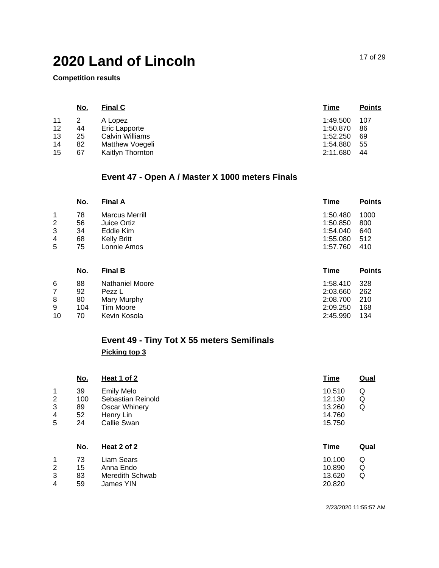**Competition results**

| <u>No.</u> | <b>Final C</b>   | <u>Time</u> | <b>Points</b> |
|------------|------------------|-------------|---------------|
| 2          | A Lopez          | 1:49.500    | 107           |
| 44         | Eric Lapporte    | 1:50.870    | 86            |
| 25         | Calvin Williams  | 1:52.250    | -69           |
| 82         | Matthew Voegeli  | 1:54.880    | 55            |
| 67         | Kaitlyn Thornton | 2:11.680    | 44            |
|            |                  |             |               |

## **Event 47 - Open A / Master X 1000 meters Finals**

|   | <u>No.</u> | <b>Final A</b>        | <u>Time</u> | <b>Points</b> |
|---|------------|-----------------------|-------------|---------------|
|   | 78         | <b>Marcus Merrill</b> | 1:50.480    | 1000          |
| 2 | 56         | Juice Ortiz           | 1:50.850    | 800           |
| 3 | 34         | Eddie Kim             | 1:54.040    | 640           |
| 4 | 68         | <b>Kelly Britt</b>    | 1:55.080    | 512           |
| 5 | 75         | Lonnie Amos           | 1:57.760    | 410           |
|   |            |                       |             |               |

|    | <u>No.</u> | <b>Final B</b>         | Time     | <b>Points</b> |
|----|------------|------------------------|----------|---------------|
| 6  | 88         | <b>Nathaniel Moore</b> | 1:58.410 | -328          |
|    | 92         | Pezz L                 | 2:03.660 | 262           |
| 8  | 80         | Mary Murphy            | 2:08.700 | 210           |
| 9  | 104        | Tim Moore              | 2:09.250 | 168           |
| 10 | 70         | Kevin Kosola           | 2:45.990 | 134           |

## **Event 49 - Tiny Tot X 55 meters Semifinals Picking top 3**

|             | <u>No.</u>      | Heat 1 of 2                                                    | <b>Time</b>                | Qual        |
|-------------|-----------------|----------------------------------------------------------------|----------------------------|-------------|
| 1<br>2<br>3 | 39<br>100<br>89 | <b>Emily Melo</b><br>Sebastian Reinold<br><b>Oscar Whinery</b> | 10.510<br>12.130<br>13.260 | Q<br>Q<br>Q |
| 4           | 52              | Henry Lin                                                      | 14.760                     |             |
| 5           | 24              | Callie Swan                                                    | 15.750                     |             |
|             | <u>No.</u>      | Heat 2 of 2                                                    | <b>Time</b>                | <b>Qual</b> |
| 1           | 73              | Liam Sears                                                     | 10.100                     | Q           |
| 2           | 15              | Anna Endo                                                      | 10.890                     | Q           |
| 3           | 83              | Meredith Schwab                                                | 13.620                     | Q           |
| 4           | 59              | James YIN                                                      | 20.820                     |             |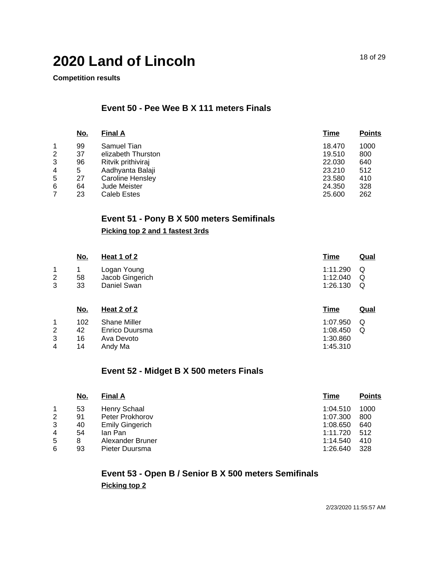**Competition results**

## **Event 50 - Pee Wee B X 111 meters Finals**

|   | <u>No.</u> | <b>Final A</b>     | Time   | <b>Points</b> |
|---|------------|--------------------|--------|---------------|
| 1 | 99         | Samuel Tian        | 18.470 | 1000          |
| 2 | 37         | elizabeth Thurston | 19.510 | 800           |
| 3 | 96         | Ritvik prithiviraj | 22,030 | 640           |
| 4 | 5          | Aadhyanta Balaji   | 23.210 | 512           |
| 5 | 27         | Caroline Hensley   | 23.580 | 410           |
| 6 | 64         | Jude Meister       | 24.350 | 328           |
|   | 23         | Caleb Estes        | 25,600 | 262           |

## **Event 51 - Pony B X 500 meters Semifinals**

### **Picking top 2 and 1 fastest 3rds**

|             | <u>No.</u>      | <u>Heat 1 of 2</u>                                  | <u>Time</u>                      | Qual        |
|-------------|-----------------|-----------------------------------------------------|----------------------------------|-------------|
| 1<br>2<br>3 | 58<br>33        | Logan Young<br>Jacob Gingerich<br>Daniel Swan       | 1:11.290<br>1:12.040<br>1:26.130 | Q<br>Q<br>Q |
|             | <u>No.</u>      | Heat 2 of 2                                         | <u>Time</u>                      | Qual        |
| 1<br>2<br>3 | 102<br>42<br>16 | <b>Shane Miller</b><br>Enrico Duursma<br>Ava Devoto | 1:07.950<br>1:08.450<br>1:30.860 | Q<br>Q      |

#### 4 14 Andy Ma

### **Event 52 - Midget B X 500 meters Finals**

|   | <u>No.</u> | <b>Final A</b>         | Time     | <b>Points</b> |
|---|------------|------------------------|----------|---------------|
|   | 53         | Henry Schaal           | 1:04.510 | 1000          |
| 2 | 91         | Peter Prokhorov        | 1:07.300 | 800           |
| 3 | 40         | <b>Emily Gingerich</b> | 1:08.650 | 640           |
| 4 | 54         | lan Pan                | 1:11.720 | 512           |
| 5 | 8          | Alexander Bruner       | 1:14.540 | 410           |
| 6 | 93         | Pieter Duursma         | 1:26.640 | 328           |

## **Event 53 - Open B / Senior B X 500 meters Semifinals Picking top 2**

2/23/2020 11:55:57 AM

1:45.310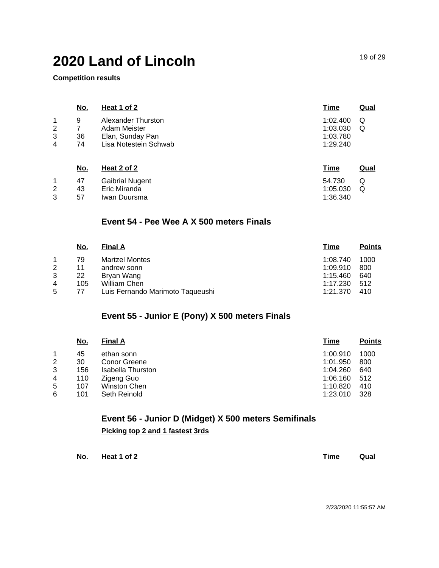**Competition results**

|                               | <u>No.</u>     | <b>Heat 1 of 2</b>                                                              | <b>Time</b>                                  | <u>Qual</u> |
|-------------------------------|----------------|---------------------------------------------------------------------------------|----------------------------------------------|-------------|
| 1<br>$\overline{2}$<br>3<br>4 | 9<br>36<br>74  | Alexander Thurston<br>Adam Meister<br>Elan, Sunday Pan<br>Lisa Notestein Schwab | 1:02.400<br>1:03.030<br>1:03.780<br>1:29.240 | Q<br>Q      |
|                               | <u>No.</u>     | <u>Heat 2 of 2</u>                                                              | <u>Time</u>                                  | <b>Qual</b> |
| 1<br>2<br>3                   | 47<br>43<br>57 | <b>Gaibrial Nugent</b><br>Eric Miranda<br>Iwan Duursma                          | 54.730<br>1:05.030<br>1:36.340               | Q<br>Q      |

### **Event 54 - Pee Wee A X 500 meters Finals**

|   | No. | <b>Final A</b>                   | Time     | <b>Points</b> |
|---|-----|----------------------------------|----------|---------------|
|   | 79  | <b>Martzel Montes</b>            | 1:08.740 | 1000          |
| 2 | 11  | andrew sonn                      | 1:09.910 | 800           |
| 3 | 22  | Bryan Wang                       | 1:15.460 | 640           |
| 4 | 105 | William Chen                     | 1:17.230 | 512           |
| 5 | 77  | Luis Fernando Marimoto Taqueushi | 1:21.370 | 410           |

## **Event 55 - Junior E (Pony) X 500 meters Finals**

|   | <u>No.</u> | <b>Final A</b>    | Time     | <b>Points</b> |
|---|------------|-------------------|----------|---------------|
|   | 45         | ethan sonn        | 1:00.910 | 1000          |
| 2 | 30         | Conor Greene      | 1:01.950 | 800           |
| 3 | 156        | Isabella Thurston | 1:04.260 | 640           |
| 4 | 110        | Zigeng Guo        | 1:06.160 | 512           |
| 5 | 107        | Winston Chen      | 1:10.820 | 410           |
| 6 | 101        | Seth Reinold      | 1:23.010 | 328           |

**Event 56 - Junior D (Midget) X 500 meters Semifinals Picking top 2 and 1 fastest 3rds**

| No.<br>$\sim$ | Heat 1 of 2 | Time | Qual |
|---------------|-------------|------|------|
|               |             |      |      |

19 of 29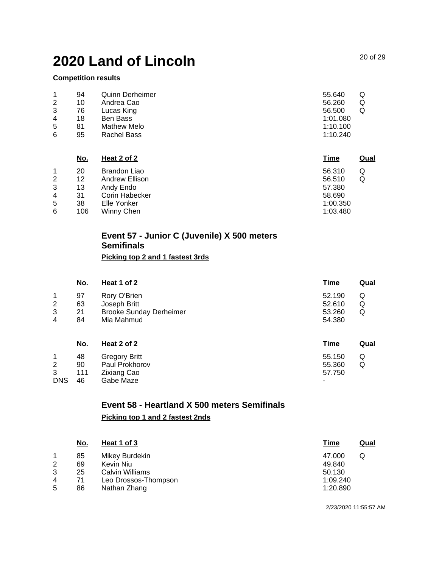#### **Competition results**

|   | 94 | <b>Quinn Derheimer</b> | 55.640<br>Q |  |
|---|----|------------------------|-------------|--|
| 2 | 10 | Andrea Cao             | 56.260<br>Q |  |
| 3 | 76 | Lucas King             | 56,500      |  |
| 4 | 18 | Ben Bass               | 1:01.080    |  |
| 5 | 81 | Mathew Melo            | 1:10.100    |  |
| 6 | 95 | Rachel Bass            | 1:10.240    |  |

|   | <u>No.</u> | Heat 2 of 2    | <u>Time</u> | Qual |
|---|------------|----------------|-------------|------|
|   | 20         | Brandon Liao   | 56.310<br>Q |      |
| 2 | 12         | Andrew Ellison | Q<br>56.510 |      |
| 3 | 13         | Andy Endo      | 57.380      |      |
| 4 | 31         | Corin Habecker | 58.690      |      |
| 5 | 38         | Elle Yonker    | 1:00.350    |      |
| 6 | 106        | Winny Chen     | 1:03.480    |      |
|   |            |                |             |      |

## **Event 57 - Junior C (Juvenile) X 500 meters Semifinals**

### **Picking top 2 and 1 fastest 3rds**

|   | <u>No.</u> | <b>Heat 1 of 2</b>             | <u>Time</u> | <u>Qual</u> |
|---|------------|--------------------------------|-------------|-------------|
|   | 97         | Rory O'Brien                   | 52.190      | Q           |
| 2 | 63         | Joseph Britt                   | 52.610      | Q           |
| 3 | 21         | <b>Brooke Sunday Derheimer</b> | 53.260      | Q           |
| 4 | 84         | Mia Mahmud                     | 54.380      |             |
|   |            |                                |             |             |

|            | <u>No.</u> | Heat 2 of 2          | Time   | Qual |
|------------|------------|----------------------|--------|------|
|            | 48         | <b>Gregory Britt</b> | 55.150 | Q    |
| 2          | 90         | Paul Prokhorov       | 55.360 | Q    |
| 3          | 111        | Zixiang Cao          | 57.750 |      |
| <b>DNS</b> | 46         | Gabe Maze            | -      |      |

## **Event 58 - Heartland X 500 meters Semifinals Picking top 1 and 2 fastest 2nds**

| No. | Heat 1 of 3          | Time     | Qual |
|-----|----------------------|----------|------|
| 85  | Mikey Burdekin       | 47.000   |      |
| 69  | Kevin Niu            | 49.840   |      |
| 25  | Calvin Williams      | 50.130   |      |
| 71  | Leo Drossos-Thompson | 1:09.240 |      |
| 86  | Nathan Zhang         | 1:20.890 |      |
|     |                      |          |      |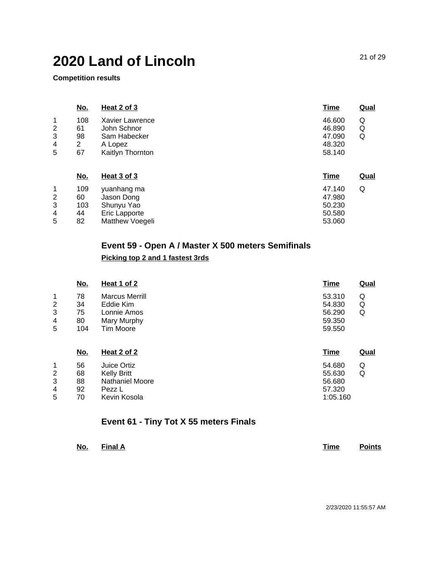Matthew Voegeli

**Competition results**

5

82

|   | <u>No.</u>     | <b>Heat 2 of 3</b> | <b>Time</b> | <b>Qual</b> |
|---|----------------|--------------------|-------------|-------------|
| 1 | 108            | Xavier Lawrence    | 46.600      | Q           |
| 2 | 61             | John Schnor        | 46.890      | Q           |
| 3 | 98             | Sam Habecker       | 47.090      | Q           |
| 4 | $\overline{2}$ | A Lopez            | 48.320      |             |
| 5 | 67             | Kaitlyn Thornton   | 58.140      |             |
|   |                |                    |             |             |
|   | <u>No.</u>     | <b>Heat 3 of 3</b> | <b>Time</b> | <b>Qual</b> |
| 1 | 109            | yuanhang ma        | 47.140      | Q           |
| 2 | 60             | Jason Dong         | 47.980      |             |
| 3 | 103            | Shunyu Yao         | 50.230      |             |
| 4 | 44             | Eric Lapporte      | 50.580      |             |
|   |                |                    |             |             |

## **Event 59 - Open A / Master X 500 meters Semifinals**

#### **Picking top 2 and 1 fastest 3rds**

|                | <u>No.</u> | Heat 1 of 2            | <u>Time</u> | <b>Qual</b> |
|----------------|------------|------------------------|-------------|-------------|
| 1              | 78         | <b>Marcus Merrill</b>  | Q<br>53.310 |             |
| 2              | 34         | Eddie Kim              | Q<br>54.830 |             |
| 3              | 75         | Lonnie Amos            | Q<br>56.290 |             |
| 4              | 80         | Mary Murphy            | 59.350      |             |
| 5              | 104        | <b>Tim Moore</b>       | 59.550      |             |
|                | <u>No.</u> | <b>Heat 2 of 2</b>     | <b>Time</b> | <b>Qual</b> |
| 1              | 56         | Juice Ortiz            | 54.680<br>Q |             |
| $\overline{2}$ | 68         | <b>Kelly Britt</b>     | Q<br>55.630 |             |
| 3              | 88         | <b>Nathaniel Moore</b> | 56.680      |             |
| 4              | 92         | Pezz L                 | 57.320      |             |
| 5              | 70         | Kevin Kosola           | 1:05.160    |             |

## **Event 61 - Tiny Tot X 55 meters Finals**

| <u>No.</u> | $\blacksquare$ Final A | Time |  | <b>Points</b> |
|------------|------------------------|------|--|---------------|
|------------|------------------------|------|--|---------------|

53.060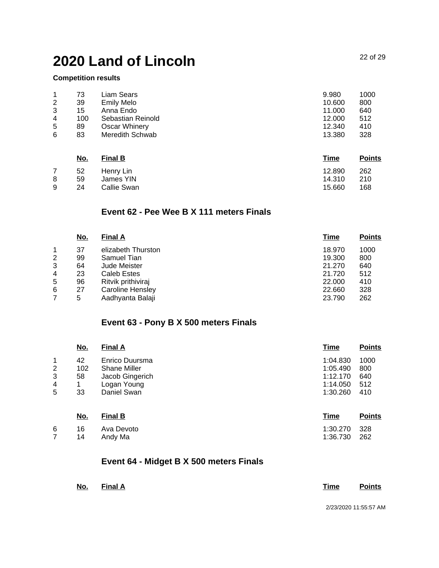### **Competition results**

| 1<br>$\overline{c}$<br>3<br>4 | 73<br>39<br>15<br>100 | Liam Sears<br><b>Emily Melo</b><br>Anna Endo<br>Sebastian Reinold | 9.980<br>10.600<br>11.000<br>12.000 | 1000<br>800<br>640<br>512 |
|-------------------------------|-----------------------|-------------------------------------------------------------------|-------------------------------------|---------------------------|
| 5                             | 89                    | Oscar Whinery                                                     | 12.340                              | 410                       |
| 6                             | 83                    | Meredith Schwab                                                   | 13.380                              | 328                       |

|   | <u>No.</u> | <b>Final B</b> | <u>Time</u> | <b>Points</b> |
|---|------------|----------------|-------------|---------------|
|   | 52         | Henry Lin      | 12.890      | 262           |
| 8 | 59         | James YIN      | 14.310      | 210           |
| 9 | 24         | Callie Swan    | 15.660      | 168           |

### **Event 62 - Pee Wee B X 111 meters Finals**

|   | <u>No.</u> | <b>Final A</b>     | Time   | <b>Points</b> |
|---|------------|--------------------|--------|---------------|
|   | 37         | elizabeth Thurston | 18.970 | 1000          |
| 2 | 99         | Samuel Tian        | 19.300 | 800           |
| 3 | 64         | Jude Meister       | 21.270 | 640           |
| 4 | 23         | Caleb Estes        | 21.720 | 512           |
| 5 | 96         | Ritvik prithiviraj | 22,000 | 410           |
| 6 | 27         | Caroline Hensley   | 22,660 | 328           |
|   | 5          | Aadhyanta Balaji   | 23.790 | 262           |

## **Event 63 - Pony B X 500 meters Finals**

|   | <u>No.</u> | <b>Final A</b>      | <b>Time</b> | <b>Points</b> |
|---|------------|---------------------|-------------|---------------|
| 1 | 42         | Enrico Duursma      | 1:04.830    | 1000          |
| 2 | 102        | <b>Shane Miller</b> | 1:05.490    | 800           |
| 3 | 58         | Jacob Gingerich     | 1:12.170    | 640           |
| 4 | 1          | Logan Young         | 1:14.050    | 512           |
| 5 | 33         | Daniel Swan         | 1:30.260    | 410           |
|   | <u>No.</u> | <b>Final B</b>      | <b>Time</b> | <b>Points</b> |
| 6 | 16         | Ava Devoto          | 1:30.270    | 328           |
|   | 14         | Andy Ma             | 1:36.730    | 262           |

## **Event 64 - Midget B X 500 meters Finals**

| No. Final A |  |  | <b>Time</b> Points       |
|-------------|--|--|--------------------------|
|             |  |  | $0/00/0000$ $44.55.57$ A |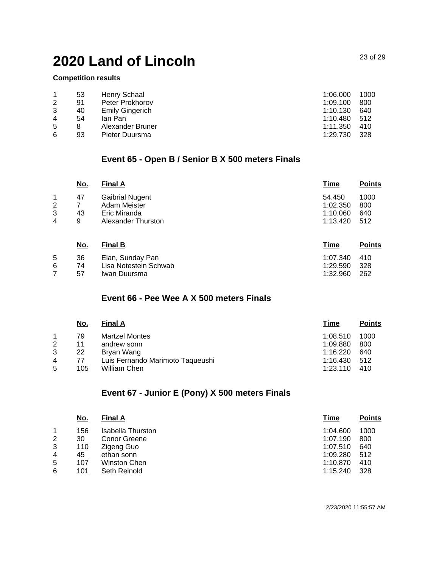57 Iwan Duursma

#### **Competition results**

7

|   | 53 | Henry Schaal           | 1:06.000 | 1000 |
|---|----|------------------------|----------|------|
| 2 | 91 | Peter Prokhorov        | 1:09.100 | 800  |
| 3 | 40 | <b>Emily Gingerich</b> | 1:10.130 | 640  |
| 4 | 54 | lan Pan                | 1:10.480 | .512 |
| 5 |    | Alexander Bruner       | 1:11.350 | 410  |
| 6 | 93 | Pieter Duursma         | 1:29.730 | 328  |

## **Event 65 - Open B / Senior B X 500 meters Finals**

|   | <u>No.</u> | <b>Final A</b>         | <b>Time</b> | <b>Points</b> |
|---|------------|------------------------|-------------|---------------|
| 1 | 47         | <b>Gaibrial Nugent</b> | 54.450      | 1000          |
| 2 |            | Adam Meister           | 1:02.350    | 800           |
| 3 | 43         | Eric Miranda           | 1:10.060    | 640           |
| 4 | 9          | Alexander Thurston     | 1:13.420    | 512           |
|   | <u>No.</u> | <b>Final B</b>         | <u>Time</u> | <b>Points</b> |
| 5 | 36         | Elan, Sunday Pan       | 1:07.340    | 410           |
| 6 | 74         | Lisa Notestein Schwab  | 1:29.590    | 328           |

#### **Event 66 - Pee Wee A X 500 meters Finals**

|   | No. | <b>Final A</b>                   | Time     | <b>Points</b> |
|---|-----|----------------------------------|----------|---------------|
|   | 79  | <b>Martzel Montes</b>            | 1:08.510 | 1000          |
| 2 | 11  | andrew sonn                      | 1:09.880 | 800           |
| 3 | 22  | Bryan Wang                       | 1:16.220 | 640           |
| 4 | 77  | Luis Fernando Marimoto Taqueushi | 1:16.430 | 512           |
| 5 | 105 | William Chen                     | 1:23.110 | 410           |

## **Event 67 - Junior E (Pony) X 500 meters Finals**

| <u>No.</u> | <b>Final A</b>    | Time     | <b>Points</b> |
|------------|-------------------|----------|---------------|
| 156        | Isabella Thurston | 1:04.600 | 1000          |
| 30         | Conor Greene      | 1:07.190 | 800           |
| 110        | Zigeng Guo        | 1:07.510 | 640           |
| 45         | ethan sonn        | 1:09.280 | 512           |
| 107        | Winston Chen      | 1:10.870 | 410           |
| 101        | Seth Reinold      | 1:15.240 | 328           |
|            |                   |          |               |

2/23/2020 11:55:57 AM

1:32.960 262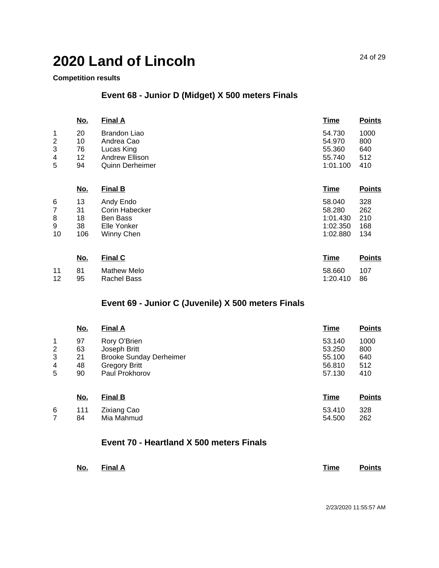#### **Competition results**

## **Event 68 - Junior D (Midget) X 500 meters Finals**

|   | <u>No.</u> | <b>Final A</b>         | <u>Time</u> | <b>Points</b> |
|---|------------|------------------------|-------------|---------------|
| 1 | 20         | <b>Brandon Liao</b>    | 54.730      | 1000          |
| 2 | 10         | Andrea Cao             | 54.970      | 800           |
| 3 | 76         | Lucas King             | 55.360      | 640           |
| 4 | 12         | <b>Andrew Ellison</b>  | 55.740      | 512           |
| 5 | 94         | <b>Quinn Derheimer</b> | 1:01.100    | 410           |
|   | No.        | <b>Final B</b>         | Time        | <b>Points</b> |

| 6  | 13  | Andy Endo      | 58.040   | 328 |
|----|-----|----------------|----------|-----|
|    | 31  | Corin Habecker | 58.280   | 262 |
| 8  | 18  | Ben Bass       | 1:01.430 | 210 |
| 9  | 38  | Elle Yonker    | 1:02.350 | 168 |
| 10 | 106 | Winny Chen     | 1:02.880 | 134 |
|    |     |                |          |     |

|    | <u>No.</u> | <b>Final C</b> | Time        | <b>Points</b> |
|----|------------|----------------|-------------|---------------|
| 11 | - 81       | Mathew Melo    | 58.660      | 107           |
| 12 | 95         | Rachel Bass    | 1:20.410 86 |               |

## **Event 69 - Junior C (Juvenile) X 500 meters Finals**

|                | <u>No.</u> | <b>Final A</b>                 | <b>Time</b> | <b>Points</b> |
|----------------|------------|--------------------------------|-------------|---------------|
| 1              | 97         | Rory O'Brien                   | 53.140      | 1000          |
| $\overline{2}$ | 63         | Joseph Britt                   | 53.250      | 800           |
| 3              | 21         | <b>Brooke Sunday Derheimer</b> | 55.100      | 640           |
| 4              | 48         | <b>Gregory Britt</b>           | 56.810      | 512           |
| 5              | 90         | Paul Prokhorov                 | 57.130      | 410           |
|                | <u>No.</u> | <b>Final B</b>                 | <b>Time</b> | <b>Points</b> |
| 6              | 111        | <b>Zixiang Cao</b>             | 53.410      | 328           |

| 6 — |      | 111 Zixiang Cao | 53.410 | 328 |
|-----|------|-----------------|--------|-----|
|     | 84 — | Mia Mahmud      | 54.500 | 262 |
|     |      |                 |        |     |

## **Event 70 - Heartland X 500 meters Finals**

| No. Final A | <u>Time</u> | <b>Points</b> |
|-------------|-------------|---------------|
|-------------|-------------|---------------|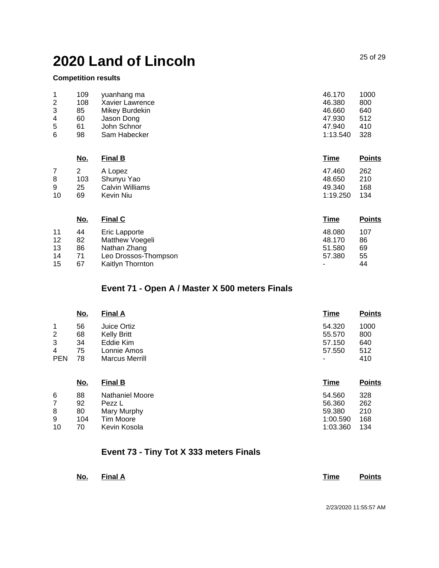### **Competition results**

| 1              | 109 | yuanhang ma     | 46.170   | 1000 |
|----------------|-----|-----------------|----------|------|
| $\overline{2}$ | 108 | Xavier Lawrence | 46.380   | 800  |
| 3              | 85  | Mikey Burdekin  | 46.660   | 640  |
| 4              | 60  | Jason Dong      | 47.930   | 512  |
| 5              | 61  | John Schnor     | 47.940   | 410  |
| 6              | 98  | Sam Habecker    | 1:13.540 | 328  |

|    | <u>No.</u> | <b>Final B</b>  | Time     | <b>Points</b> |
|----|------------|-----------------|----------|---------------|
|    |            | A Lopez         | 47.460   | 262           |
| 8  | 103        | Shunyu Yao      | 48.650   | 210           |
| 9  | 25         | Calvin Williams | 49.340   | 168           |
| 10 | 69         | Kevin Niu       | 1:19.250 | 134           |
|    |            |                 |          |               |

|    | <u>No.</u> | <b>Final C</b>       | <u>Time</u>    | <b>Points</b> |
|----|------------|----------------------|----------------|---------------|
| 11 | 44         | Eric Lapporte        | 48.080         | 107           |
| 12 | 82         | Matthew Voegeli      | 48.170         | 86            |
| 13 | 86         | Nathan Zhang         | 51.580         | 69            |
| 14 | 71         | Leo Drossos-Thompson | 57.380         | 55            |
| 15 | 67         | Kaitlyn Thornton     | $\blacksquare$ | 44            |

## **Event 71 - Open A / Master X 500 meters Finals**

|                | <u>No.</u> | <b>Final A</b>        | Time   | <b>Points</b> |
|----------------|------------|-----------------------|--------|---------------|
|                | 56         | Juice Ortiz           | 54.320 | 1000          |
| $\overline{c}$ | 68         | Kelly Britt           | 55.570 | 800           |
| 3              | 34         | Eddie Kim             | 57.150 | 640           |
| 4              | 75         | Lonnie Amos           | 57.550 | 512           |
| <b>PEN</b>     | 78         | <b>Marcus Merrill</b> | ۰      | 410           |

|    | <u>No.</u> | <b>Final B</b>         | Time     | <b>Points</b> |
|----|------------|------------------------|----------|---------------|
| 6  | 88         | <b>Nathaniel Moore</b> | 54.560   | 328           |
|    | 92         | Pezz L                 | 56.360   | 262           |
| 8  | 80         | Mary Murphy            | 59,380   | 210           |
| 9  | 104        | Tim Moore              | 1:00.590 | 168           |
| 10 | 70         | Kevin Kosola           | 1:03.360 | 134           |

## **Event 73 - Tiny Tot X 333 meters Finals**

| No. | Final A | Time | <b>Points</b> |
|-----|---------|------|---------------|
|     |         |      |               |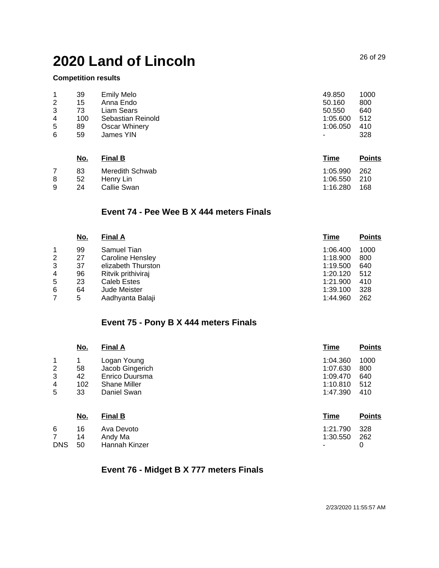#### **Competition results**

|                | 39  | <b>Emily Melo</b> | 49.850                   | 1000 |
|----------------|-----|-------------------|--------------------------|------|
| $\overline{2}$ | 15  | Anna Endo         | 50.160                   | 800  |
| 3              | 73  | Liam Sears        | 50.550                   | 640  |
| 4              | 100 | Sebastian Reinold | 1:05.600                 | 512  |
| 5              | 89  | Oscar Whinery     | 1:06.050                 | 410  |
| 6              | 59  | James YIN         | $\overline{\phantom{a}}$ | 328  |

|   | <u>No.</u> | <b>Final B</b>  | Time         | <b>Points</b> |
|---|------------|-----------------|--------------|---------------|
|   | 83         | Meredith Schwab | 1:05.990     | 262           |
| 8 | 52         | Henry Lin       | 1:06.550 210 |               |
| 9 | 24         | Callie Swan     | 1:16.280     | 168           |

## **Event 74 - Pee Wee B X 444 meters Finals**

|   | <u>No.</u> | <b>Final A</b>     | Time     | <b>Points</b> |
|---|------------|--------------------|----------|---------------|
|   | 99         | Samuel Tian        | 1:06.400 | 1000          |
| 2 | 27         | Caroline Hensley   | 1:18.900 | 800           |
| 3 | 37         | elizabeth Thurston | 1:19.500 | 640           |
| 4 | 96         | Ritvik prithiviraj | 1:20.120 | 512           |
| 5 | 23         | Caleb Estes        | 1:21.900 | 410           |
| 6 | 64         | Jude Meister       | 1:39.100 | 328           |
|   | 5          | Aadhyanta Balaji   | 1:44.960 | 262           |

## **Event 75 - Pony B X 444 meters Finals**

|                                        | <u>No.</u>           | <b>Final A</b>                                                          | <u>Time</u>                                  | <b>Points</b>                             |
|----------------------------------------|----------------------|-------------------------------------------------------------------------|----------------------------------------------|-------------------------------------------|
| 1<br>$\overline{\mathbf{c}}$<br>3<br>4 | 58<br>42<br>102      | Logan Young<br>Jacob Gingerich<br>Enrico Duursma<br><b>Shane Miller</b> | 1:04.360<br>1:07.630<br>1:09.470<br>1:10.810 | 1000<br>800<br>640<br>512                 |
| 5                                      | 33                   | Daniel Swan                                                             | 1:47.390                                     | 410                                       |
| $\sim$                                 | <u>No.</u><br>$\sim$ | <b>Final B</b><br>$\sim$ $\sim$ $\sim$                                  | <u>Time</u><br>$\cdots$                      | <b>Points</b><br>$\overline{\phantom{a}}$ |

| 6 | 16 Ava Devoto        | 1:21.790 328 |  |
|---|----------------------|--------------|--|
|   | 7 14 Andy Ma         | 1:30.550 262 |  |
|   | DNS 50 Hannah Kinzer | $\sim$ 0     |  |

## **Event 76 - Midget B X 777 meters Finals**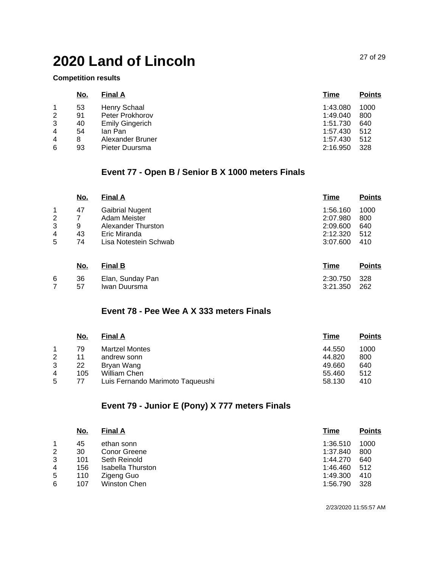#### **Competition results**

|                | <u>No.</u> | <b>Final A</b>         | Time     | <b>Points</b> |
|----------------|------------|------------------------|----------|---------------|
|                | 53         | Henry Schaal           | 1:43.080 | 1000          |
| $\overline{2}$ | 91         | Peter Prokhorov        | 1:49.040 | 800           |
| 3              | 40         | <b>Emily Gingerich</b> | 1:51.730 | 640           |
| 4              | 54         | lan Pan                | 1:57.430 | 512           |
| 4              | 8          | Alexander Bruner       | 1:57.430 | 512           |
| 6              | 93         | Pieter Duursma         | 2:16.950 | 328           |

## **Event 77 - Open B / Senior B X 1000 meters Finals**

|   | <u>No.</u> | <b>Final A</b>         | <b>Time</b> | <b>Points</b> |
|---|------------|------------------------|-------------|---------------|
| 1 | 47         | <b>Gaibrial Nugent</b> | 1:56.160    | 1000          |
| 2 |            | Adam Meister           | 2:07.980    | 800           |
| 3 | 9          | Alexander Thurston     | 2:09.600    | 640           |
| 4 | 43         | Eric Miranda           | 2:12.320    | 512           |
| 5 | 74         | Lisa Notestein Schwab  | 3:07.600    | 410           |
|   | No.        | <b>Final B</b>         | Time        | <b>Points</b> |

| 6 | 36<br>57 | Elan, Sunday Pan<br>Iwan Duursma | 2:30.750 328<br>3:21.350 262 |  |
|---|----------|----------------------------------|------------------------------|--|
|   |          |                                  |                              |  |

## **Event 78 - Pee Wee A X 333 meters Finals**

| No. | <b>Final A</b>                   | <u>Time</u> | <b>Points</b> |
|-----|----------------------------------|-------------|---------------|
| 79  | <b>Martzel Montes</b>            | 44.550      | 1000          |
| 11  | andrew sonn                      | 44.820      | 800           |
| 22  | Bryan Wang                       | 49.660      | 640           |
| 105 | William Chen                     | 55.460      | 512           |
| 77  | Luis Fernando Marimoto Taqueushi | 58.130      | 410           |
|     |                                  |             |               |

## **Event 79 - Junior E (Pony) X 777 meters Finals**

|   | <u>No.</u> | <b>Final A</b>    | Time     | <b>Points</b> |
|---|------------|-------------------|----------|---------------|
|   | 45         | ethan sonn        | 1:36.510 | 1000          |
| 2 | 30         | Conor Greene      | 1:37.840 | 800           |
| 3 | 101        | Seth Reinold      | 1:44.270 | 640           |
| 4 | 156        | Isabella Thurston | 1:46.460 | 512           |
| 5 | 110        | Zigeng Guo        | 1:49.300 | 410           |
| 6 | 107        | Winston Chen      | 1:56.790 | 328           |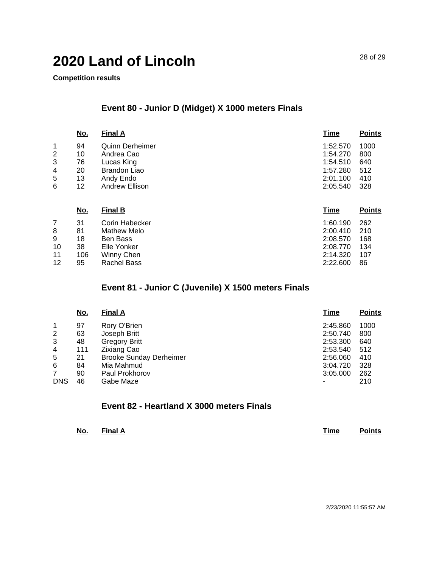**Competition results**

## **Event 80 - Junior D (Midget) X 1000 meters Finals**

|                | <u>No.</u> | <b>Final A</b>         | <b>Time</b> | <b>Points</b> |
|----------------|------------|------------------------|-------------|---------------|
| 1              | 94         | <b>Quinn Derheimer</b> | 1:52.570    | 1000          |
| $\overline{2}$ | 10         | Andrea Cao             | 1:54.270    | 800           |
| 3              | 76         | Lucas King             | 1:54.510    | 640           |
| 4              | 20         | <b>Brandon Liao</b>    | 1:57.280    | 512           |
| 5              | 13         | Andy Endo              | 2:01.100    | 410           |
| 6              | 12         | Andrew Ellison         | 2:05.540    | 328           |
|                | No.        | <b>Final B</b>         | <u>Time</u> | <b>Points</b> |
| 7              | 31         | Corin Habecker         | 1:60.190    | 262           |
| 8              | 81         | Mathew Melo            | 2:00.410    | 210           |
| 9              | 18         | <b>Ben Bass</b>        | 2:08.570    | 168           |
| 10             | 38         | Elle Yonker            | 2:08.770    | 134           |
| 11             | 106        | Winny Chen             | 2:14.320    | 107           |
| 12             | 95         | <b>Rachel Bass</b>     | 2:22.600    | 86            |

## **Event 81 - Junior C (Juvenile) X 1500 meters Finals**

|                | <u>No.</u> | <b>Final A</b>                 | <b>Time</b> | <b>Points</b> |
|----------------|------------|--------------------------------|-------------|---------------|
|                | 97         | Rory O'Brien                   | 2:45.860    | 1000          |
| $\overline{2}$ | 63         | Joseph Britt                   | 2:50.740    | 800           |
| 3              | 48         | <b>Gregory Britt</b>           | 2:53.300    | 640           |
| 4              | 111        | <b>Zixiang Cao</b>             | 2:53.540    | 512           |
| 5              | 21         | <b>Brooke Sunday Derheimer</b> | 2:56.060    | 410           |
| 6              | 84         | Mia Mahmud                     | 3:04.720    | 328           |
| 7              | 90         | Paul Prokhorov                 | 3:05.000    | 262           |
| <b>DNS</b>     | 46         | Gabe Maze                      | ۰           | 210           |

### **Event 82 - Heartland X 3000 meters Finals**

| No.<br>$\sim$ $\sim$ | <b>Final A</b> | Time | <b>Points</b> |
|----------------------|----------------|------|---------------|
|                      |                |      |               |